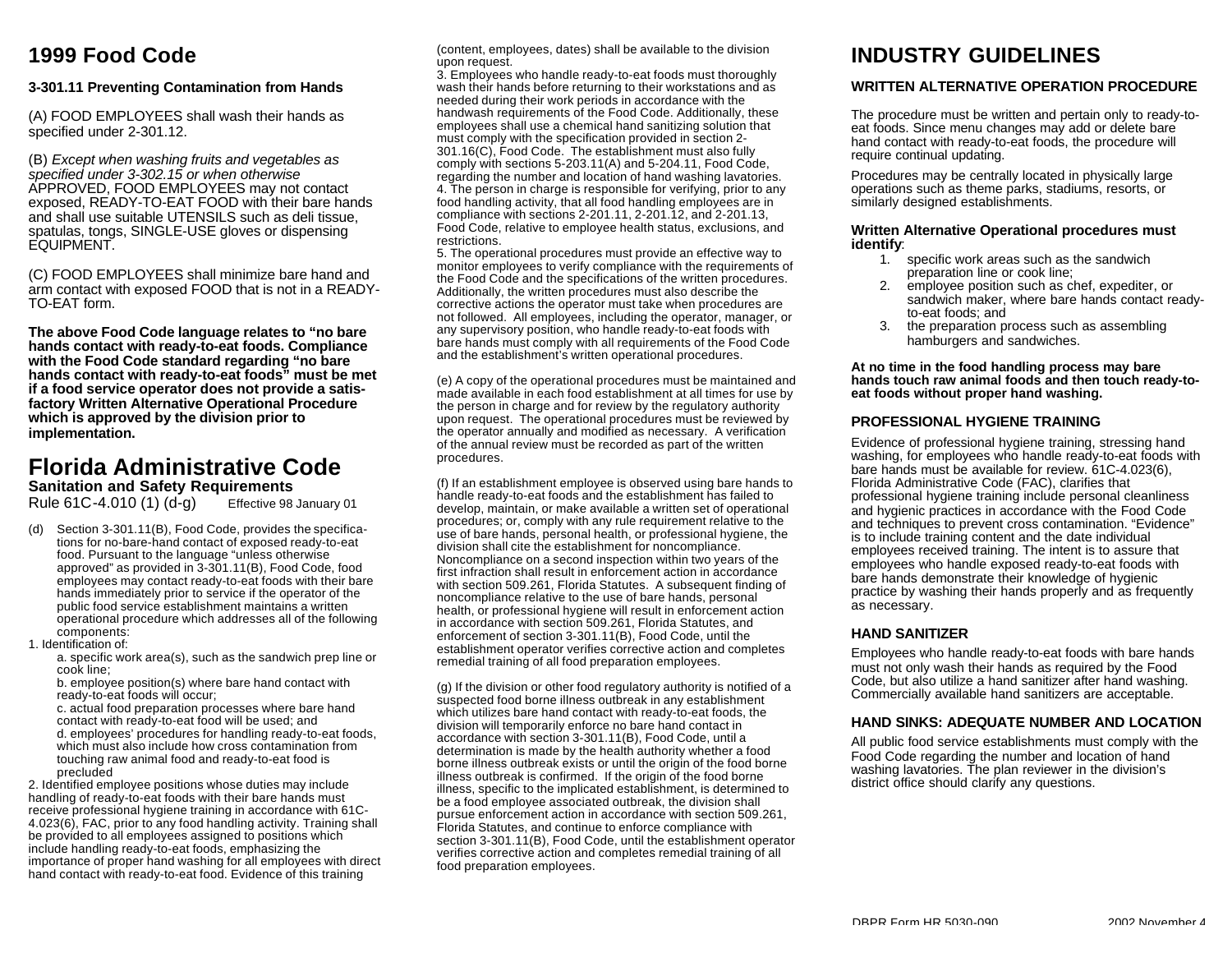### **1999 Food Code**

#### **3-301.11 Preventing Contamination from Hands**

(A) FOOD EMPLOYEES shall wash their hands as specified under 2-301.12.

(B) *Except when washing fruits and vegetables as specified under 3-302.15 or when otherwise* APPROVED, FOOD EMPLOYEES may not contact exposed, READY-TO-EAT FOOD with their bare hands and shall use suitable UTENSILS such as deli tissue, spatulas, tongs, SINGLE-USE gloves or dispensing EQUIPMENT.

(C) FOOD EMPLOYEES shall minimize bare hand and arm contact with exposed FOOD that is not in a READY-TO-EAT form.

**The above Food Code language relates to "no bare hands contact with ready-to-eat foods. Compliance with the Food Code standard regarding "no bare hands contact with ready-to-eat foods" must be met if a food service operator does not provide a satisfactory Written Alternative Operational Procedure which is approved by the division prior to implementation.**

#### **Florida Administrative Code Sanitation and Safety Requirements**

Rule 61C-4.010 (1) (d-g) Effective 98 January 01

- (d) Section 3-301.11(B), Food Code, provides the specifications for no-bare-hand contact of exposed ready-to-eat food. Pursuant to the language "unless otherwise approved" as provided in 3-301.11(B), Food Code, food employees may contact ready-to-eat foods with their bare hands immediately prior to service if the operator of the public food service establishment maintains a written operational procedure which addresses all of the following components:
- 1. Identification of:

a. specific work area(s), such as the sandwich prep line or cook line;

b. employee position(s) where bare hand contact with ready-to-eat foods will occur;

c. actual food preparation processes where bare hand contact with ready-to-eat food will be used; and d. employees' procedures for handling ready-to-eat foods, which must also include how cross contamination from touching raw animal food and ready-to-eat food is precluded

2. Identified employee positions whose duties may include handling of ready-to-eat foods with their bare hands must receive professional hygiene training in accordance with 61C-4.023(6), FAC, prior to any food handling activity. Training shall be provided to all employees assigned to positions which include handling ready-to-eat foods, emphasizing the importance of proper hand washing for all employees with direct hand contact with ready-to-eat food. Evidence of this training

(content, employees, dates) shall be available to the division upon request.

3. Employees who handle ready-to-eat foods must thoroughly wash their hands before returning to their workstations and as needed during their work periods in accordance with the handwash requirements of the Food Code. Additionally, these employees shall use a chemical hand sanitizing solution that must comply with the specification provided in section 2- 301.16(C), Food Code. The establishment must also fully comply with sections 5-203.11(A) and 5-204.11, Food Code, regarding the number and location of hand washing lavatories. 4. The person in charge is responsible for verifying, prior to any food handling activity, that all food handling employees are in compliance with sections 2-201.11, 2-201.12, and 2-201.13, Food Code, relative to employee health status, exclusions, and restrictions.

5. The operational procedures must provide an effective way to monitor employees to verify compliance with the requirements of the Food Code and the specifications of the written procedures. Additionally, the written procedures must also describe the corrective actions the operator must take when procedures are not followed. All employees, including the operator, manager, or any supervisory position, who handle ready-to-eat foods with bare hands must comply with all requirements of the Food Code and the establishment's written operational procedures.

(e) A copy of the operational procedures must be maintained and made available in each food establishment at all times for use by the person in charge and for review by the regulatory authority upon request. The operational procedures must be reviewed by the operator annually and modified as necessary. A verification of the annual review must be recorded as part of the written procedures.

(f) If an establishment employee is observed using bare hands to handle ready-to-eat foods and the establishment has failed to develop, maintain, or make available a written set of operational procedures; or, comply with any rule requirement relative to the use of bare hands, personal health, or professional hygiene, the division shall cite the establishment for noncompliance. Noncompliance on a second inspection within two years of the first infraction shall result in enforcement action in accordance with section 509.261, Florida Statutes. A subsequent finding of noncompliance relative to the use of bare hands, personal health, or professional hygiene will result in enforcement action in accordance with section 509.261, Florida Statutes, and enforcement of section 3-301.11(B), Food Code, until the establishment operator verifies corrective action and completes remedial training of all food preparation employees.

(g) If the division or other food regulatory authority is notified of a suspected food borne illness outbreak in any establishment which utilizes bare hand contact with ready-to-eat foods, the division will temporarily enforce no bare hand contact in accordance with section 3-301.11(B), Food Code, until a determination is made by the health authority whether a food borne illness outbreak exists or until the origin of the food borne illness outbreak is confirmed. If the origin of the food borne illness, specific to the implicated establishment, is determined to be a food employee associated outbreak, the division shall pursue enforcement action in accordance with section 509.261, Florida Statutes, and continue to enforce compliance with section 3-301.11(B), Food Code, until the establishment operator verifies corrective action and completes remedial training of all food preparation employees.

### **INDUSTRY GUIDELINES**

#### **WRITTEN ALTERNATIVE OPERATION PROCEDURE**

The procedure must be written and pertain only to ready-toeat foods. Since menu changes may add or delete bare hand contact with ready-to-eat foods, the procedure will require continual updating.

Procedures may be centrally located in physically large operations such as theme parks, stadiums, resorts, or similarly designed establishments.

#### **Written Alternative Operational procedures must identify**:

- 1. specific work areas such as the sandwich preparation line or cook line;
- 2. employee position such as chef, expediter, or sandwich maker, where bare hands contact readyto-eat foods; and
- 3. the preparation process such as assembling hamburgers and sandwiches.

**At no time in the food handling process may bare hands touch raw animal foods and then touch ready-toeat foods without proper hand washing.**

#### **PROFESSIONAL HYGIENE TRAINING**

Evidence of professional hygiene training, stressing hand washing, for employees who handle ready-to-eat foods with bare hands must be available for review. 61C-4.023(6), Florida Administrative Code (FAC), clarifies that professional hygiene training include personal cleanliness and hygienic practices in accordance with the Food Code and techniques to prevent cross contamination. "Evidence" is to include training content and the date individual employees received training. The intent is to assure that employees who handle exposed ready-to-eat foods with bare hands demonstrate their knowledge of hygienic practice by washing their hands properly and as frequently as necessary.

#### **HAND SANITIZER**

Employees who handle ready-to-eat foods with bare hands must not only wash their hands as required by the Food Code, but also utilize a hand sanitizer after hand washing. Commercially available hand sanitizers are acceptable.

#### **HAND SINKS: ADEQUATE NUMBER AND LOCATION**

All public food service establishments must comply with the Food Code regarding the number and location of hand washing lavatories. The plan reviewer in the division's district office should clarify any questions.